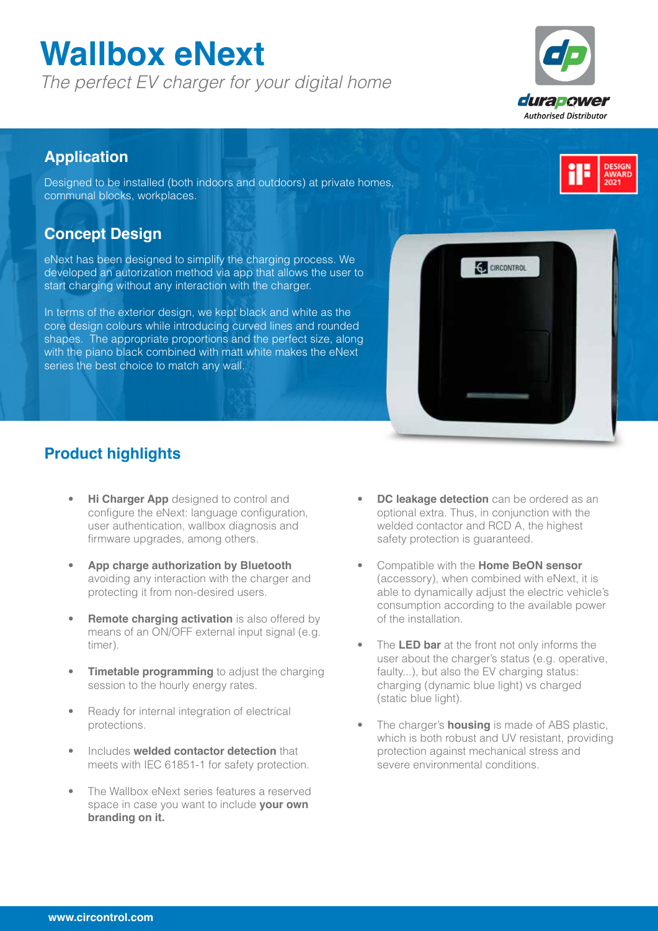# **Wallbox eNext**

*The perfect EV charger for your digital home*



### **Application**

Designed to be installed (both indoors and outdoors) at private homes, communal blocks, workplaces.

### **Concept Design**

eNext has been designed to simplify the charging process. We developed an autorization method via app that allows the user to start charging without any interaction with the charger.

In terms of the exterior design, we kept black and white as the core design colours while introducing curved lines and rounded shapes. The appropriate proportions and the perfect size, along with the piano black combined with matt white makes the eNext series the best choice to match any wall.



### **Product highlights**

- **Hi Charger App** designed to control and configure the eNext: language configuration, user authentication, wallbox diagnosis and firmware upgrades, among others.
- **App charge authorization by Bluetooth** avoiding any interaction with the charger and protecting it from non-desired users.
- **Remote charging activation** is also offered by means of an ON/OFF external input signal (e.g. timer).
- **Timetable programming** to adjust the charging session to the hourly energy rates.
- Ready for internal integration of electrical protections.
- Includes **welded contactor detection** that meets with IEC 61851-1 for safety protection.
- The Wallbox eNext series features a reserved space in case you want to include **your own branding on it.**
- **DC leakage detection** can be ordered as an optional extra. Thus, in conjunction with the welded contactor and RCD A, the highest safety protection is guaranteed.
- Compatible with the **Home BeON sensor** (accessory), when combined with eNext, it is able to dynamically adjust the electric vehicle's consumption according to the available power of the installation.
- The **LED bar** at the front not only informs the user about the charger's status (e.g. operative, faulty...), but also the EV charging status: charging (dynamic blue light) vs charged (static blue light).
- The charger's **housing** is made of ABS plastic, which is both robust and UV resistant, providing protection against mechanical stress and severe environmental conditions.